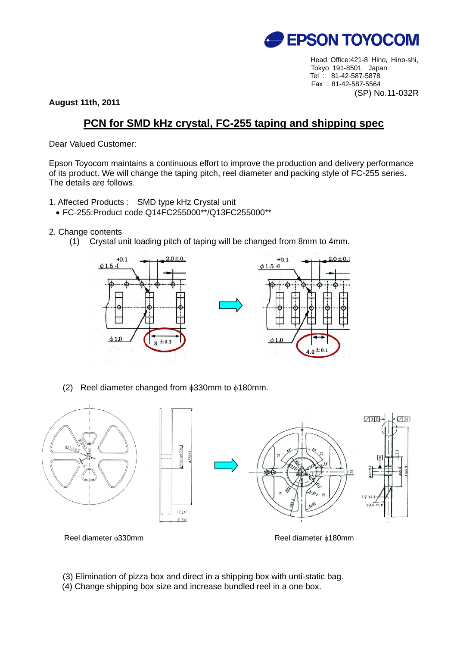

Head Office:421-8 Hino, Hino-shi, Tokyo 191-8501 Japan Tel : 81-42-587-5878 Fax : 81-42-587-5564 (SP) No.11-032R

**August 11th, 2011** 

## **PCN for SMD kHz crystal, FC-255 taping and shipping spec**

Dear Valued Customer:

Epson Toyocom maintains a continuous effort to improve the production and delivery performance of its product. We will change the taping pitch, reel diameter and packing style of FC-255 series. The details are follows.

- 1. Affected Products : SMD type kHz Crystal unit
	- FC-255:Product code Q14FC255000\*\*/Q13FC255000\*\*
- 2. Change contents
	- (1) Crystal unit loading pitch of taping will be changed from 8mm to 4mm.



(2) Reel diameter changed from  $\phi$ 330mm to  $\phi$ 180mm.



Reel diameter φ330mm **Reel diameter φ180mm** 

(3) Elimination of pizza box and direct in a shipping box with unti-static bag. (4) Change shipping box size and increase bundled reel in a one box.